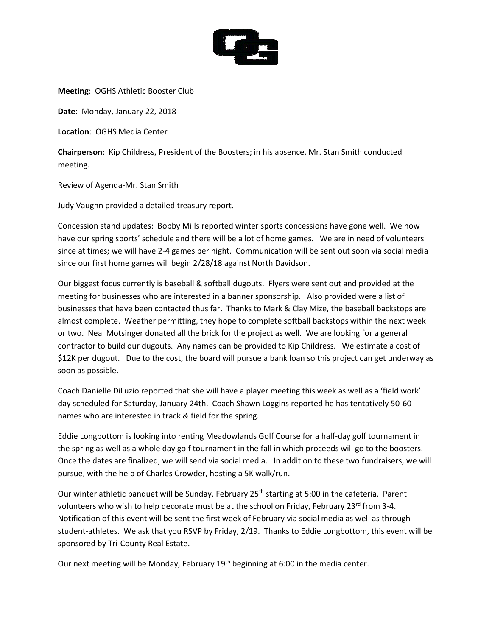

**Meeting**: OGHS Athletic Booster Club

**Date**: Monday, January 22, 2018

**Location**: OGHS Media Center

**Chairperson**: Kip Childress, President of the Boosters; in his absence, Mr. Stan Smith conducted meeting.

Review of Agenda-Mr. Stan Smith

Judy Vaughn provided a detailed treasury report.

Concession stand updates: Bobby Mills reported winter sports concessions have gone well. We now have our spring sports' schedule and there will be a lot of home games. We are in need of volunteers since at times; we will have 2-4 games per night. Communication will be sent out soon via social media since our first home games will begin 2/28/18 against North Davidson.

Our biggest focus currently is baseball & softball dugouts. Flyers were sent out and provided at the meeting for businesses who are interested in a banner sponsorship. Also provided were a list of businesses that have been contacted thus far. Thanks to Mark & Clay Mize, the baseball backstops are almost complete. Weather permitting, they hope to complete softball backstops within the next week or two. Neal Motsinger donated all the brick for the project as well. We are looking for a general contractor to build our dugouts. Any names can be provided to Kip Childress. We estimate a cost of \$12K per dugout. Due to the cost, the board will pursue a bank loan so this project can get underway as soon as possible.

Coach Danielle DiLuzio reported that she will have a player meeting this week as well as a 'field work' day scheduled for Saturday, January 24th. Coach Shawn Loggins reported he has tentatively 50-60 names who are interested in track & field for the spring.

Eddie Longbottom is looking into renting Meadowlands Golf Course for a half-day golf tournament in the spring as well as a whole day golf tournament in the fall in which proceeds will go to the boosters. Once the dates are finalized, we will send via social media. In addition to these two fundraisers, we will pursue, with the help of Charles Crowder, hosting a 5K walk/run.

Our winter athletic banquet will be Sunday, February 25<sup>th</sup> starting at 5:00 in the cafeteria. Parent volunteers who wish to help decorate must be at the school on Friday, February 23<sup>rd</sup> from 3-4. Notification of this event will be sent the first week of February via social media as well as through student-athletes. We ask that you RSVP by Friday, 2/19. Thanks to Eddie Longbottom, this event will be sponsored by Tri-County Real Estate.

Our next meeting will be Monday, February  $19<sup>th</sup>$  beginning at 6:00 in the media center.